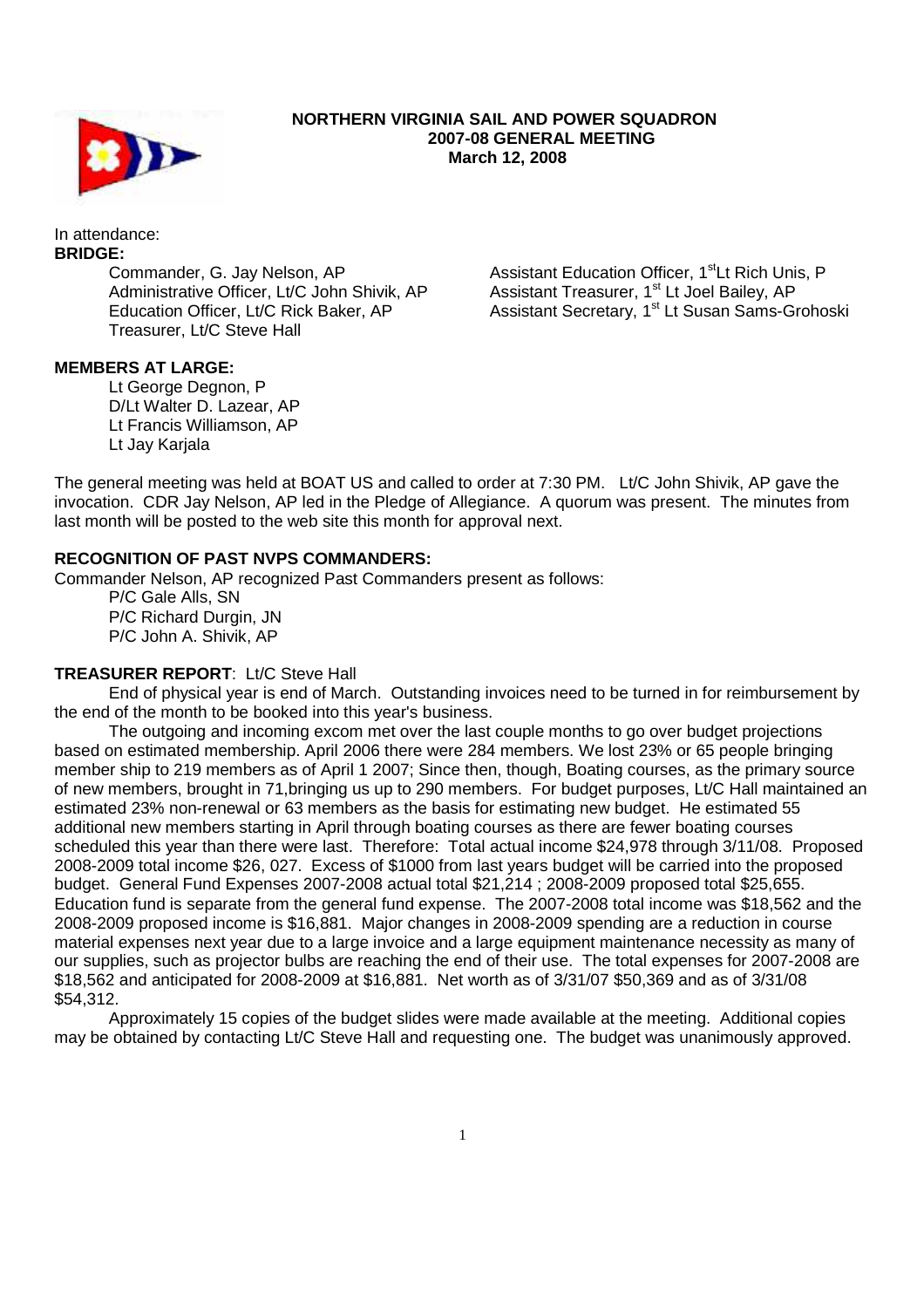

#### **NORTHERN VIRGINIA SAIL AND POWER SQUADRON 2007-08 GENERAL MEETING March 12, 2008**

In attendance: **BRIDGE:** 

 Commander, G. Jay Nelson, AP Administrative Officer, Lt/C John Shivik, AP Education Officer, Lt/C Rick Baker, AP Treasurer, Lt/C Steve Hall

Assistant Education Officer, 1<sup>st</sup>Lt Rich Unis, P Assistant Treasurer, 1<sup>st</sup> Lt Joel Bailey, AP Assistant Secretary, 1<sup>st</sup> Lt Susan Sams-Grohoski

# **MEMBERS AT LARGE:**

Lt George Degnon, P D/Lt Walter D. Lazear, AP Lt Francis Williamson, AP Lt Jay Karjala

The general meeting was held at BOAT US and called to order at 7:30 PM. Lt/C John Shivik, AP gave the invocation. CDR Jay Nelson, AP led in the Pledge of Allegiance. A quorum was present. The minutes from last month will be posted to the web site this month for approval next.

#### **RECOGNITION OF PAST NVPS COMMANDERS:**

Commander Nelson, AP recognized Past Commanders present as follows:

 P/C Gale Alls, SN P/C Richard Durgin, JN P/C John A. Shivik, AP

## **TREASURER REPORT**: Lt/C Steve Hall

 End of physical year is end of March. Outstanding invoices need to be turned in for reimbursement by the end of the month to be booked into this year's business.

 The outgoing and incoming excom met over the last couple months to go over budget projections based on estimated membership. April 2006 there were 284 members. We lost 23% or 65 people bringing member ship to 219 members as of April 1 2007; Since then, though, Boating courses, as the primary source of new members, brought in 71,bringing us up to 290 members. For budget purposes, Lt/C Hall maintained an estimated 23% non-renewal or 63 members as the basis for estimating new budget. He estimated 55 additional new members starting in April through boating courses as there are fewer boating courses scheduled this year than there were last. Therefore: Total actual income \$24,978 through 3/11/08. Proposed 2008-2009 total income \$26, 027. Excess of \$1000 from last years budget will be carried into the proposed budget. General Fund Expenses 2007-2008 actual total \$21,214 ; 2008-2009 proposed total \$25,655. Education fund is separate from the general fund expense. The 2007-2008 total income was \$18,562 and the 2008-2009 proposed income is \$16,881. Major changes in 2008-2009 spending are a reduction in course material expenses next year due to a large invoice and a large equipment maintenance necessity as many of our supplies, such as projector bulbs are reaching the end of their use. The total expenses for 2007-2008 are \$18,562 and anticipated for 2008-2009 at \$16,881. Net worth as of 3/31/07 \$50,369 and as of 3/31/08 \$54,312.

 Approximately 15 copies of the budget slides were made available at the meeting. Additional copies may be obtained by contacting Lt/C Steve Hall and requesting one. The budget was unanimously approved.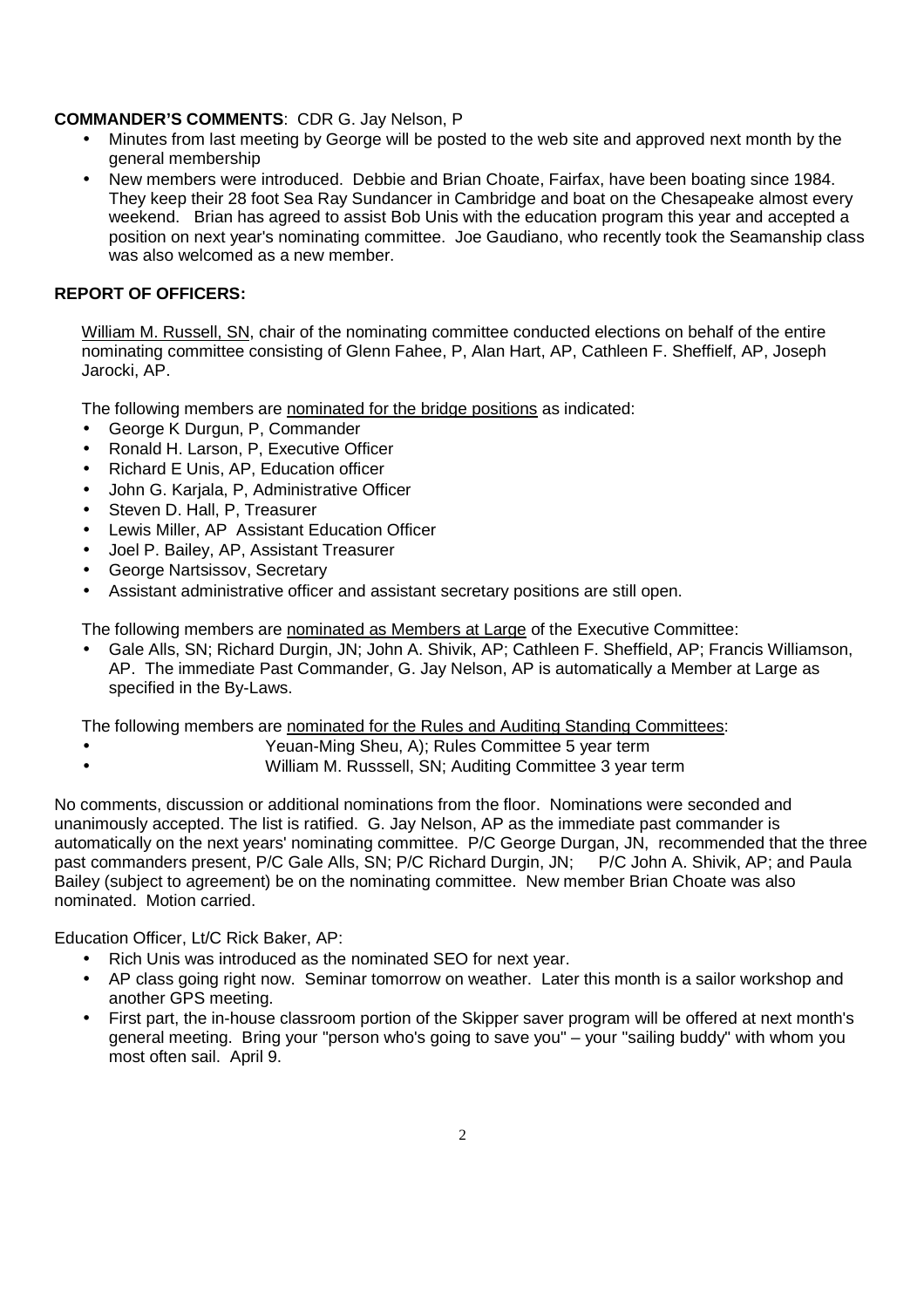## **COMMANDER'S COMMENTS**: CDR G. Jay Nelson, P

- Minutes from last meeting by George will be posted to the web site and approved next month by the general membership
- New members were introduced. Debbie and Brian Choate, Fairfax, have been boating since 1984. They keep their 28 foot Sea Ray Sundancer in Cambridge and boat on the Chesapeake almost every weekend. Brian has agreed to assist Bob Unis with the education program this year and accepted a position on next year's nominating committee. Joe Gaudiano, who recently took the Seamanship class was also welcomed as a new member.

### **REPORT OF OFFICERS:**

William M. Russell, SN, chair of the nominating committee conducted elections on behalf of the entire nominating committee consisting of Glenn Fahee, P, Alan Hart, AP, Cathleen F. Sheffielf, AP, Joseph Jarocki, AP.

The following members are nominated for the bridge positions as indicated:

- George K Durgun, P, Commander
- Ronald H. Larson, P, Executive Officer
- Richard E Unis, AP, Education officer
- John G. Karjala, P, Administrative Officer
- Steven D. Hall, P. Treasurer
- Lewis Miller, AP Assistant Education Officer
- Joel P. Bailey, AP, Assistant Treasurer
- George Nartsissov, Secretary
- Assistant administrative officer and assistant secretary positions are still open.

The following members are nominated as Members at Large of the Executive Committee:

• Gale Alls, SN; Richard Durgin, JN; John A. Shivik, AP; Cathleen F. Sheffield, AP; Francis Williamson, AP. The immediate Past Commander, G. Jay Nelson, AP is automatically a Member at Large as specified in the By-Laws.

The following members are nominated for the Rules and Auditing Standing Committees:

- Yeuan-Ming Sheu, A); Rules Committee 5 year term
	- William M. Russsell, SN; Auditing Committee 3 year term

No comments, discussion or additional nominations from the floor. Nominations were seconded and unanimously accepted. The list is ratified. G. Jay Nelson, AP as the immediate past commander is automatically on the next years' nominating committee. P/C George Durgan, JN, recommended that the three past commanders present, P/C Gale Alls, SN; P/C Richard Durgin, JN; P/C John A. Shivik, AP; and Paula Bailey (subject to agreement) be on the nominating committee. New member Brian Choate was also nominated. Motion carried.

Education Officer, Lt/C Rick Baker, AP:

- Rich Unis was introduced as the nominated SEO for next year.
- AP class going right now. Seminar tomorrow on weather. Later this month is a sailor workshop and another GPS meeting.
- First part, the in-house classroom portion of the Skipper saver program will be offered at next month's general meeting. Bring your "person who's going to save you" – your "sailing buddy" with whom you most often sail. April 9.